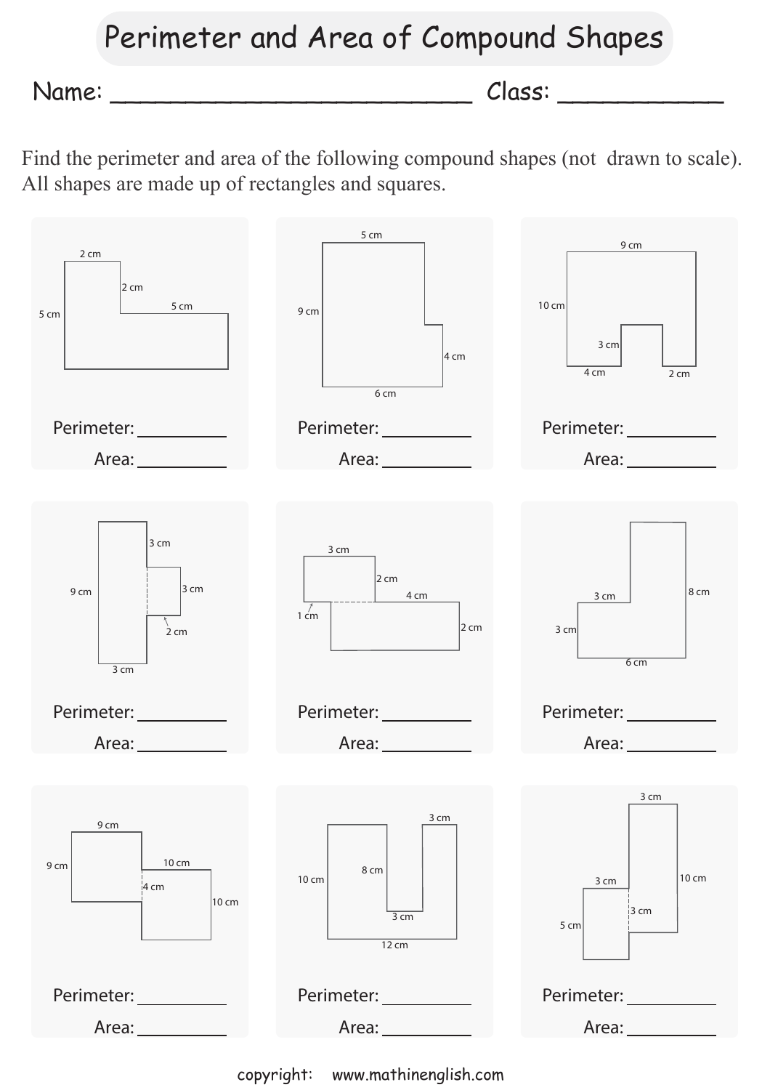## Perimeter and Area of Compound Shapes

Name: \_\_\_\_\_\_\_\_\_\_\_\_\_\_\_\_\_\_\_\_\_\_\_\_ Class: \_\_\_\_\_\_\_\_\_\_\_

Find the perimeter and area of the following compound shapes (not drawn to scale). All shapes are made up of rectangles and squares.



copyright: www.mathinenglish.com